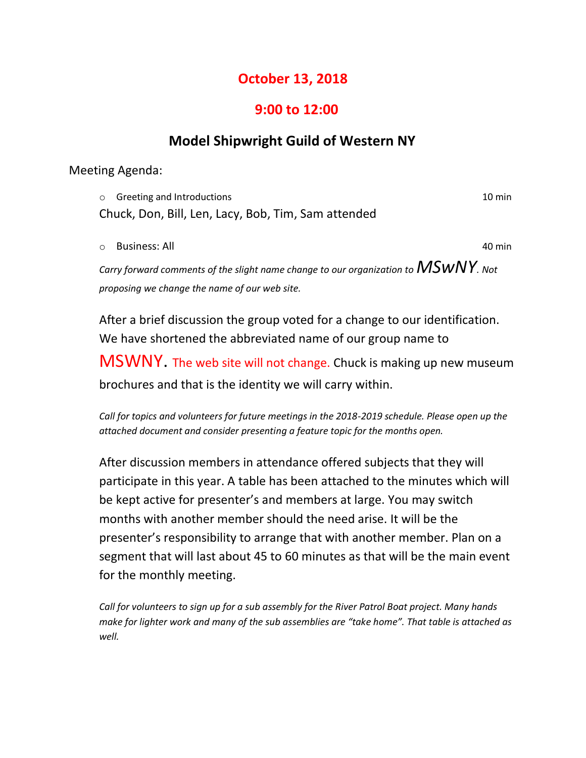## **October 13, 2018**

## **9:00 to 12:00**

## **Model Shipwright Guild of Western NY**

Meeting Agenda:

o Greeting and Introductions 10 min Chuck, Don, Bill, Len, Lacy, Bob, Tim, Sam attended

o Business: All 40 min

*Carry forward comments of the slight name change to our organization to*  $\mathsf{MSWNY}$ *. Not proposing we change the name of our web site.*

After a brief discussion the group voted for a change to our identification. We have shortened the abbreviated name of our group name to

MSWNY. The web site will not change. Chuck is making up new museum brochures and that is the identity we will carry within.

*Call for topics and volunteers for future meetings in the 2018-2019 schedule. Please open up the attached document and consider presenting a feature topic for the months open.*

After discussion members in attendance offered subjects that they will participate in this year. A table has been attached to the minutes which will be kept active for presenter's and members at large. You may switch months with another member should the need arise. It will be the presenter's responsibility to arrange that with another member. Plan on a segment that will last about 45 to 60 minutes as that will be the main event for the monthly meeting.

*Call for volunteers to sign up for a sub assembly for the River Patrol Boat project. Many hands make for lighter work and many of the sub assemblies are "take home". That table is attached as well.*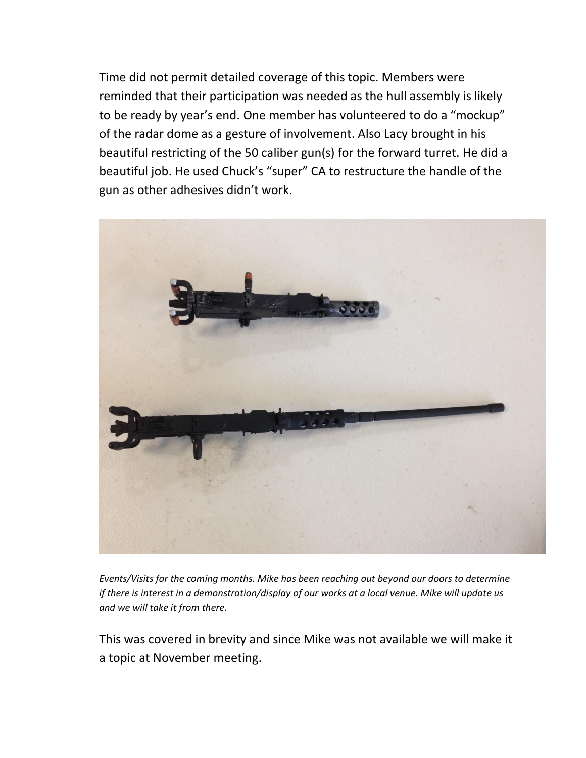Time did not permit detailed coverage of this topic. Members were reminded that their participation was needed as the hull assembly is likely to be ready by year's end. One member has volunteered to do a "mockup" of the radar dome as a gesture of involvement. Also Lacy brought in his beautiful restricting of the 50 caliber gun(s) for the forward turret. He did a beautiful job. He used Chuck's "super" CA to restructure the handle of the gun as other adhesives didn't work.



*Events/Visits for the coming months. Mike has been reaching out beyond our doors to determine if there is interest in a demonstration/display of our works at a local venue. Mike will update us and we will take it from there.*

This was covered in brevity and since Mike was not available we will make it a topic at November meeting.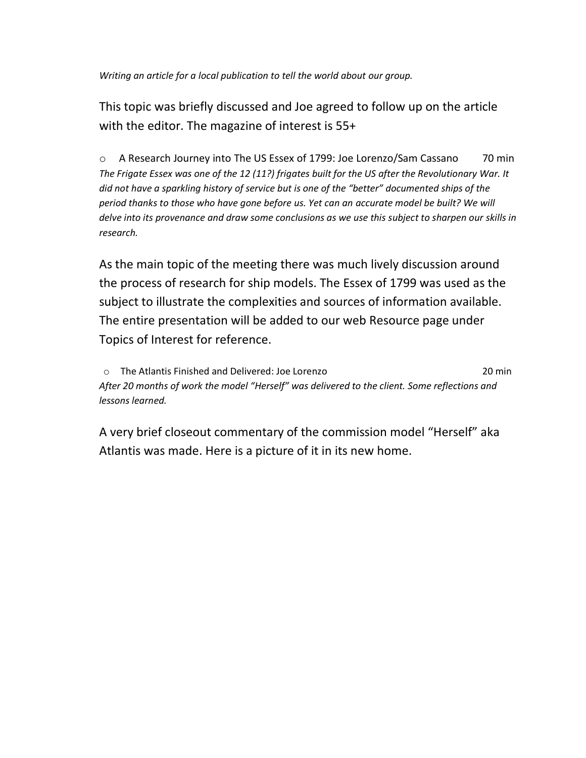*Writing an article for a local publication to tell the world about our group.*

This topic was briefly discussed and Joe agreed to follow up on the article with the editor. The magazine of interest is 55+

o A Research Journey into The US Essex of 1799: Joe Lorenzo/Sam Cassano 70 min *The Frigate Essex was one of the 12 (11?) frigates built for the US after the Revolutionary War. It did not have a sparkling history of service but is one of the "better" documented ships of the period thanks to those who have gone before us. Yet can an accurate model be built? We will delve into its provenance and draw some conclusions as we use this subject to sharpen our skills in research.*

As the main topic of the meeting there was much lively discussion around the process of research for ship models. The Essex of 1799 was used as the subject to illustrate the complexities and sources of information available. The entire presentation will be added to our web Resource page under Topics of Interest for reference.

o The Atlantis Finished and Delivered: Joe Lorenzo 20 min *After 20 months of work the model "Herself" was delivered to the client. Some reflections and lessons learned.*

A very brief closeout commentary of the commission model "Herself" aka Atlantis was made. Here is a picture of it in its new home.